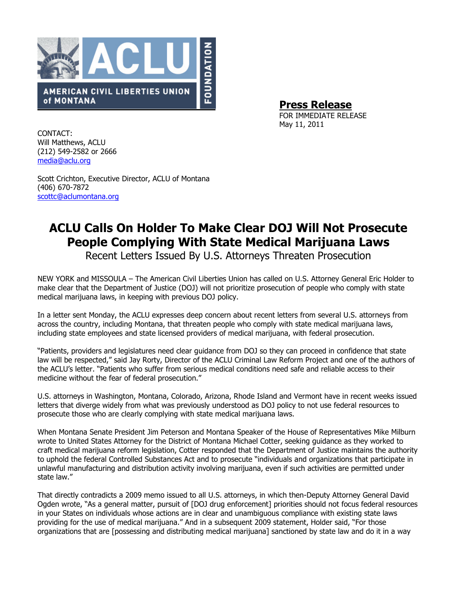

Press Release

FOR IMMEDIATE RELEASE May 11, 2011

CONTACT: Will Matthews, ACLU (212) 549-2582 or 2666 media@aclu.org

Scott Crichton, Executive Director, ACLU of Montana (406) 670-7872 scottc@aclumontana.org

## ACLU Calls On Holder To Make Clear DOJ Will Not Prosecute People Complying With State Medical Marijuana Laws

Recent Letters Issued By U.S. Attorneys Threaten Prosecution

NEW YORK and MISSOULA – The American Civil Liberties Union has called on U.S. Attorney General Eric Holder to make clear that the Department of Justice (DOJ) will not prioritize prosecution of people who comply with state medical marijuana laws, in keeping with previous DOJ policy.

In a letter sent Monday, the ACLU expresses deep concern about recent letters from several U.S. attorneys from across the country, including Montana, that threaten people who comply with state medical marijuana laws, including state employees and state licensed providers of medical marijuana, with federal prosecution.

"Patients, providers and legislatures need clear guidance from DOJ so they can proceed in confidence that state law will be respected," said Jay Rorty, Director of the ACLU Criminal Law Reform Project and one of the authors of the ACLU's letter. "Patients who suffer from serious medical conditions need safe and reliable access to their medicine without the fear of federal prosecution."

U.S. attorneys in Washington, Montana, Colorado, Arizona, Rhode Island and Vermont have in recent weeks issued letters that diverge widely from what was previously understood as DOJ policy to not use federal resources to prosecute those who are clearly complying with state medical marijuana laws.

When Montana Senate President Jim Peterson and Montana Speaker of the House of Representatives Mike Milburn wrote to United States Attorney for the District of Montana Michael Cotter, seeking guidance as they worked to craft medical marijuana reform legislation, Cotter responded that the Department of Justice maintains the authority to uphold the federal Controlled Substances Act and to prosecute "individuals and organizations that participate in unlawful manufacturing and distribution activity involving marijuana, even if such activities are permitted under state law."

That directly contradicts a 2009 memo issued to all U.S. attorneys, in which then-Deputy Attorney General David Ogden wrote, "As a general matter, pursuit of [DOJ drug enforcement] priorities should not focus federal resources in your States on individuals whose actions are in clear and unambiguous compliance with existing state laws providing for the use of medical marijuana." And in a subsequent 2009 statement, Holder said, "For those organizations that are [possessing and distributing medical marijuana] sanctioned by state law and do it in a way